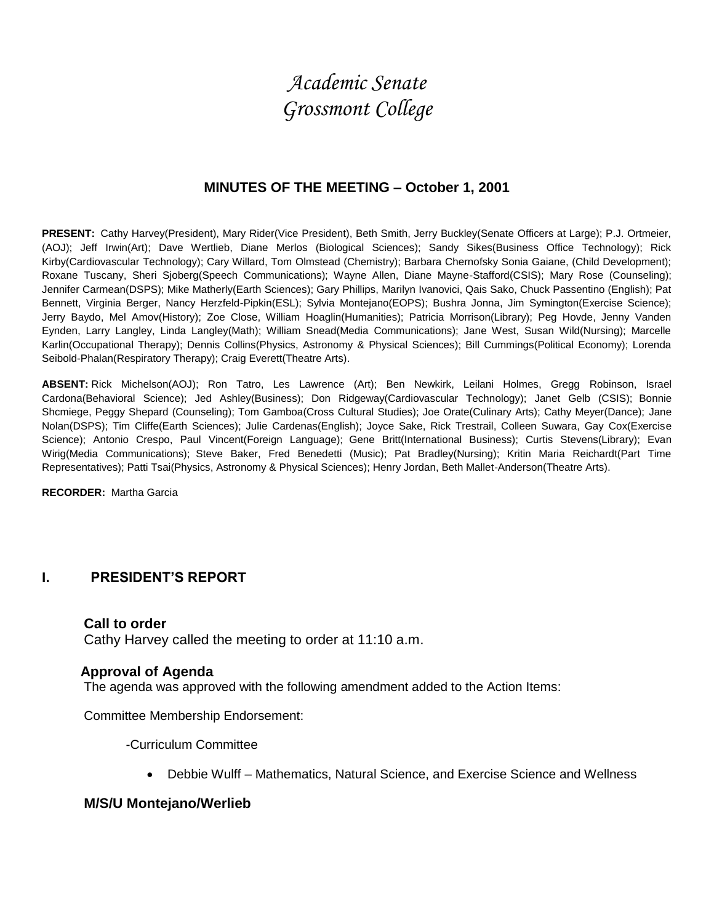# *Academic Senate Grossmont College*

# **MINUTES OF THE MEETING – October 1, 2001**

**PRESENT:** Cathy Harvey(President), Mary Rider(Vice President), Beth Smith, Jerry Buckley(Senate Officers at Large); P.J. Ortmeier, (AOJ); Jeff Irwin(Art); Dave Wertlieb, Diane Merlos (Biological Sciences); Sandy Sikes(Business Office Technology); Rick Kirby(Cardiovascular Technology); Cary Willard, Tom Olmstead (Chemistry); Barbara Chernofsky Sonia Gaiane, (Child Development); Roxane Tuscany, Sheri Sjoberg(Speech Communications); Wayne Allen, Diane Mayne-Stafford(CSIS); Mary Rose (Counseling); Jennifer Carmean(DSPS); Mike Matherly(Earth Sciences); Gary Phillips, Marilyn Ivanovici, Qais Sako, Chuck Passentino (English); Pat Bennett, Virginia Berger, Nancy Herzfeld-Pipkin(ESL); Sylvia Montejano(EOPS); Bushra Jonna, Jim Symington(Exercise Science); Jerry Baydo, Mel Amov(History); Zoe Close, William Hoaglin(Humanities); Patricia Morrison(Library); Peg Hovde, Jenny Vanden Eynden, Larry Langley, Linda Langley(Math); William Snead(Media Communications); Jane West, Susan Wild(Nursing); Marcelle Karlin(Occupational Therapy); Dennis Collins(Physics, Astronomy & Physical Sciences); Bill Cummings(Political Economy); Lorenda Seibold-Phalan(Respiratory Therapy); Craig Everett(Theatre Arts).

**ABSENT:** Rick Michelson(AOJ); Ron Tatro, Les Lawrence (Art); Ben Newkirk, Leilani Holmes, Gregg Robinson, Israel Cardona(Behavioral Science); Jed Ashley(Business); Don Ridgeway(Cardiovascular Technology); Janet Gelb (CSIS); Bonnie Shcmiege, Peggy Shepard (Counseling); Tom Gamboa(Cross Cultural Studies); Joe Orate(Culinary Arts); Cathy Meyer(Dance); Jane Nolan(DSPS); Tim Cliffe(Earth Sciences); Julie Cardenas(English); Joyce Sake, Rick Trestrail, Colleen Suwara, Gay Cox(Exercise Science); Antonio Crespo, Paul Vincent(Foreign Language); Gene Britt(International Business); Curtis Stevens(Library); Evan Wirig(Media Communications); Steve Baker, Fred Benedetti (Music); Pat Bradley(Nursing); Kritin Maria Reichardt(Part Time Representatives); Patti Tsai(Physics, Astronomy & Physical Sciences); Henry Jordan, Beth Mallet-Anderson(Theatre Arts).

**RECORDER:** Martha Garcia

# **I. PRESIDENT'S REPORT**

#### **Call to order**

Cathy Harvey called the meeting to order at 11:10 a.m.

#### **Approval of Agenda**

The agenda was approved with the following amendment added to the Action Items:

Committee Membership Endorsement:

-Curriculum Committee

Debbie Wulff – Mathematics, Natural Science, and Exercise Science and Wellness

## **M/S/U Montejano/Werlieb**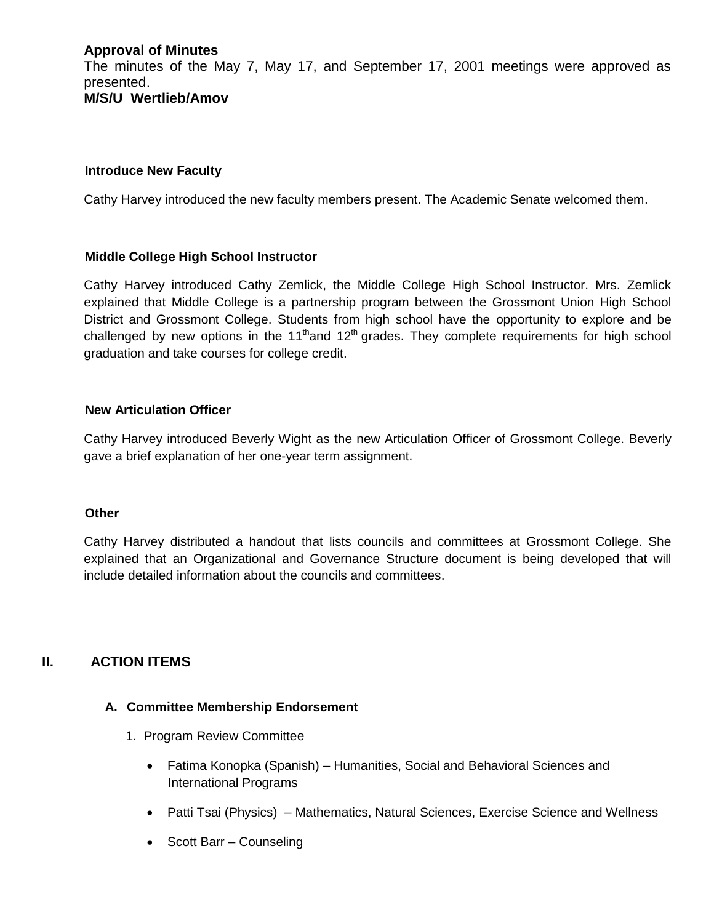# **Approval of Minutes**

The minutes of the May 7, May 17, and September 17, 2001 meetings were approved as presented. **M/S/U Wertlieb/Amov**

## **Introduce New Faculty**

Cathy Harvey introduced the new faculty members present. The Academic Senate welcomed them.

### **Middle College High School Instructor**

Cathy Harvey introduced Cathy Zemlick, the Middle College High School Instructor. Mrs. Zemlick explained that Middle College is a partnership program between the Grossmont Union High School District and Grossmont College. Students from high school have the opportunity to explore and be challenged by new options in the 11<sup>th</sup>and 12<sup>th</sup> grades. They complete requirements for high school graduation and take courses for college credit.

### **New Articulation Officer**

Cathy Harvey introduced Beverly Wight as the new Articulation Officer of Grossmont College. Beverly gave a brief explanation of her one-year term assignment.

## **Other**

Cathy Harvey distributed a handout that lists councils and committees at Grossmont College. She explained that an Organizational and Governance Structure document is being developed that will include detailed information about the councils and committees.

# **II. ACTION ITEMS**

#### **A. Committee Membership Endorsement**

- 1. Program Review Committee
	- Fatima Konopka (Spanish) Humanities, Social and Behavioral Sciences and International Programs
	- Patti Tsai (Physics) Mathematics, Natural Sciences, Exercise Science and Wellness
	- Scott Barr Counseling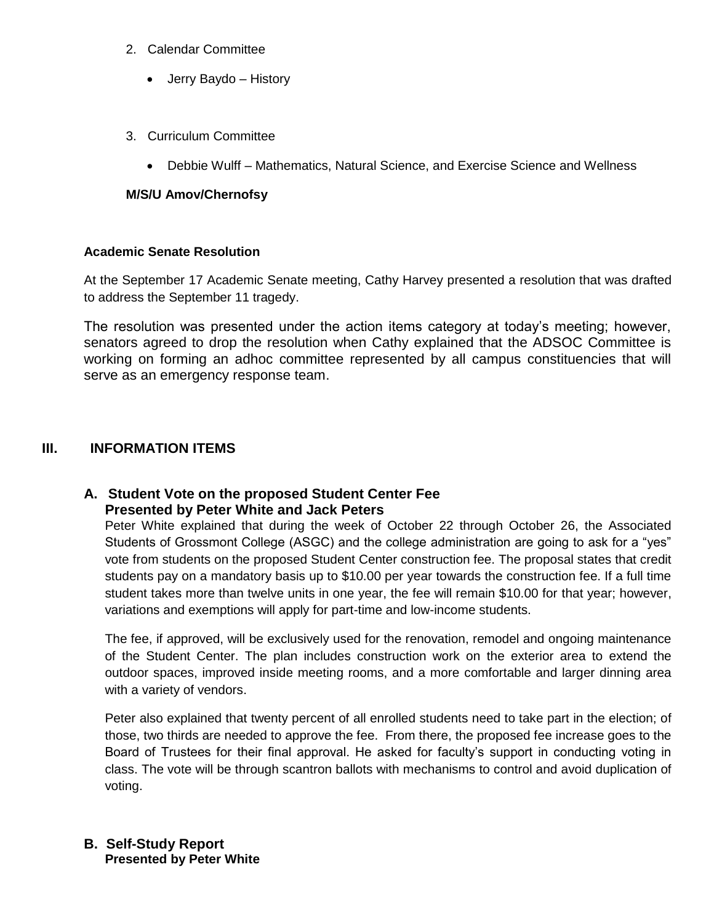- 2. Calendar Committee
	- Jerry Baydo History
- 3. Curriculum Committee
	- Debbie Wulff Mathematics, Natural Science, and Exercise Science and Wellness

## **M/S/U Amov/Chernofsy**

### **Academic Senate Resolution**

At the September 17 Academic Senate meeting, Cathy Harvey presented a resolution that was drafted to address the September 11 tragedy.

The resolution was presented under the action items category at today's meeting; however, senators agreed to drop the resolution when Cathy explained that the ADSOC Committee is working on forming an adhoc committee represented by all campus constituencies that will serve as an emergency response team.

## **III. INFORMATION ITEMS**

## **A. Student Vote on the proposed Student Center Fee Presented by Peter White and Jack Peters**

Peter White explained that during the week of October 22 through October 26, the Associated Students of Grossmont College (ASGC) and the college administration are going to ask for a "yes" vote from students on the proposed Student Center construction fee. The proposal states that credit students pay on a mandatory basis up to \$10.00 per year towards the construction fee. If a full time student takes more than twelve units in one year, the fee will remain \$10.00 for that year; however, variations and exemptions will apply for part-time and low-income students.

The fee, if approved, will be exclusively used for the renovation, remodel and ongoing maintenance of the Student Center. The plan includes construction work on the exterior area to extend the outdoor spaces, improved inside meeting rooms, and a more comfortable and larger dinning area with a variety of vendors.

Peter also explained that twenty percent of all enrolled students need to take part in the election; of those, two thirds are needed to approve the fee. From there, the proposed fee increase goes to the Board of Trustees for their final approval. He asked for faculty's support in conducting voting in class. The vote will be through scantron ballots with mechanisms to control and avoid duplication of voting.

## **B. Self-Study Report Presented by Peter White**